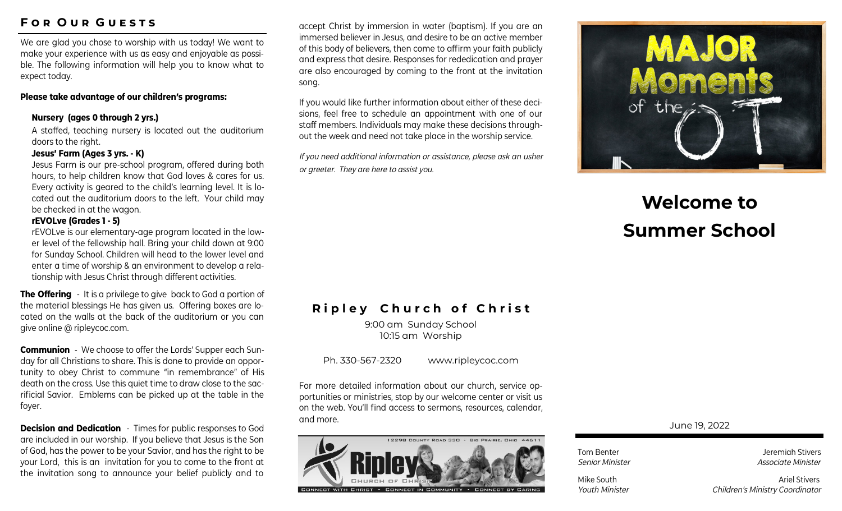# **F o r O u r G u e s t s**

We are glad you chose to worship with us today! We want to make your experience with us as easy and enjoyable as possible. The following information will help you to know what to expect today.

## **Please take advantage of our children's programs:**

## **Nursery (ages 0 through 2 yrs.)**

A staffed, teaching nursery is located out the auditorium doors to the right.

## **Jesus' Farm (Ages 3 yrs. - K)**

Jesus Farm is our pre-school program, offered during both hours, to help children know that God loves & cares for us. Every activity is geared to the child's learning level. It is located out the auditorium doors to the left. Your child may be checked in at the wagon.

## **rEVOLve (Grades 1 - 5)**

rEVOLve is our elementary-age program located in the lower level of the fellowship hall. Bring your child down at 9:00 for Sunday School. Children will head to the lower level and enter a time of worship & an environment to develop a relationship with Jesus Christ through different activities.

**The Offering** - It is a privilege to give back to God a portion of the material blessings He has given us. Offering boxes are located on the walls at the back of the auditorium or you can give online @ ripleycoc.com.

**Communion** - We choose to offer the Lords' Supper each Sunday for all Christians to share. This is done to provide an opportunity to obey Christ to commune "in remembrance" of His death on the cross. Use this quiet time to draw close to the sacrificial Savior. Emblems can be picked up at the table in the foyer.

**Decision and Dedication** - Times for public responses to God are included in our worship. If you believe that Jesus is the Son of God, has the power to be your Savior, and has the right to be your Lord, this is an invitation for you to come to the front at the invitation song to announce your belief publicly and to

accept Christ by immersion in water (baptism). If you are an immersed believer in Jesus, and desire to be an active member of this body of believers, then come to affirm your faith publicly and express that desire. Responses for rededication and prayer are also encouraged by coming to the front at the invitation song.

If you would like further information about either of these decisions, feel free to schedule an appointment with one of our staff members. Individuals may make these decisions throughout the week and need not take place in the worship service.

*If you need additional information or assistance, please ask an usher or greeter. They are here to assist you.*

# **MAJOR** of the

# **Welcome to Summer School**

# **Ripley Church of Christ**

9:00 am Sunday School 10:15 am Worship

Ph. 330-567-2320 www.ripleycoc.com

For more detailed information about our church, service opportunities or ministries, stop by our welcome center or visit us on the web. You'll find access to sermons, resources, calendar, and more.



June 19, 2022

Tom Benter **Jeremiah Stivers Senior Minister Associate Minister** *Senior Minister* **Associate Minister** 

Mike South **Ariel Stivers** Ariel Stivers *Youth Minister Children's Ministry Coordinator*